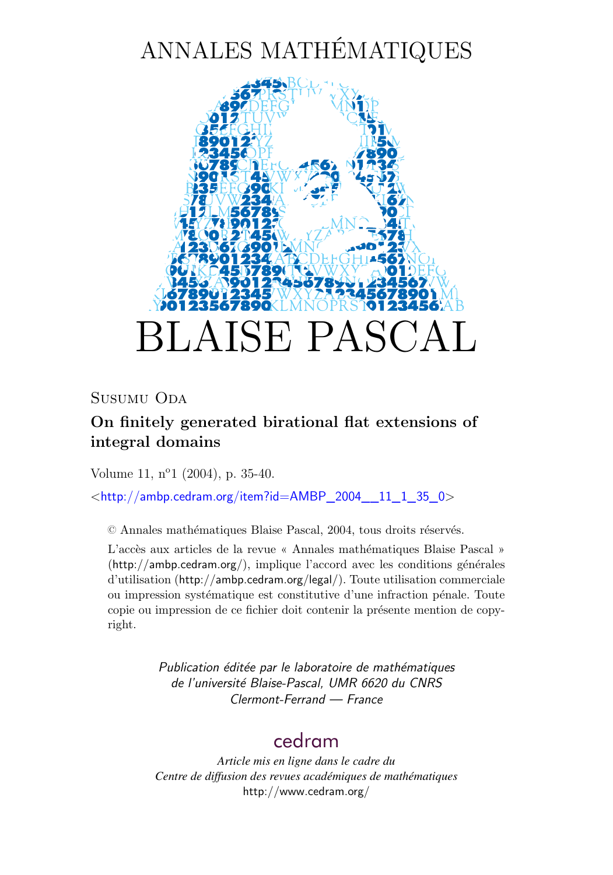# ANNALES MATHÉMATIQUES



### SUSUMU ODA

## **On finitely generated birational flat extensions of integral domains**

Volume 11, n<sup>o</sup>1 (2004), p. 35[-40.](#page-6-0)

<[http://ambp.cedram.org/item?id=AMBP\\_2004\\_\\_11\\_1\\_35\\_0](http://ambp.cedram.org/item?id=AMBP_2004__11_1_35_0)>

© Annales mathématiques Blaise Pascal, 2004, tous droits réservés.

L'accès aux articles de la revue « Annales mathématiques Blaise Pascal » (<http://ambp.cedram.org/>), implique l'accord avec les conditions générales d'utilisation (<http://ambp.cedram.org/legal/>). Toute utilisation commerciale ou impression systématique est constitutive d'une infraction pénale. Toute copie ou impression de ce fichier doit contenir la présente mention de copyright.

> *Publication éditée par le laboratoire de mathématiques de l'université Blaise-Pascal, UMR 6620 du CNRS Clermont-Ferrand — France*

# [cedram](http://www.cedram.org/)

*Article mis en ligne dans le cadre du Centre de diffusion des revues académiques de mathématiques* <http://www.cedram.org/>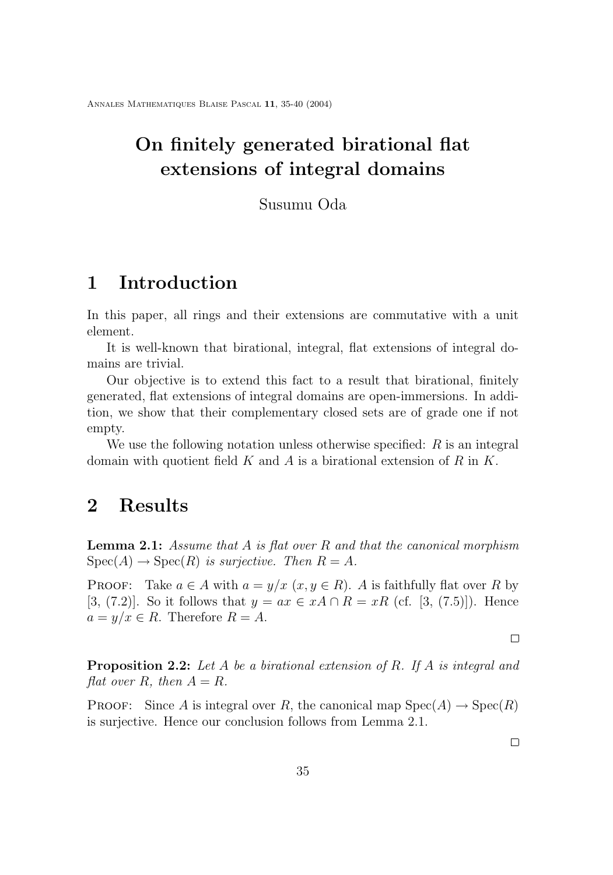# <span id="page-1-0"></span>**On finitely generated birational flat extensions of integral domains**

Susumu Oda

## **1 Introduction**

In this paper, all rings and their extensions are commutative with a unit element.

It is well-known that birational, integral, flat extensions of integral domains are trivial.

Our objective is to extend this fact to a result that birational, finitely generated, flat extensions of integral domains are open-immersions. In addition, we show that their complementary closed sets are of grade one if not empty.

We use the following notation unless otherwise specified:  $R$  is an integral domain with quotient field  $K$  and  $A$  is a birational extension of  $R$  in  $K$ .

### **2 Results**

**Lemma 2.1:** *Assume that* A *is flat over* R *and that the canonical morphism*  $Spec(A) \rightarrow Spec(R)$  *is surjective. Then*  $R = A$ *.* 

PROOF: Take  $a \in A$  with  $a = y/x$   $(x, y \in R)$ . A is faithfully flat over R by [\[3,](#page-6-0) (7.2)]. So it follows that  $y = ax \in xA \cap R = xR$  (cf. [3, (7.5)]). Hence  $a = y/x \in R$ . Therefore  $R = A$ .

 $\Box$ 

**Proposition 2.2:** *Let* A *be a birational extension of* R*. If* A *is integral and flat over*  $R$ *, then*  $A = R$ *.* 

**PROOF:** Since A is integral over R, the canonical map  $Spec(A) \rightarrow Spec(R)$ is surjective. Hence our conclusion follows from Lemma 2.1.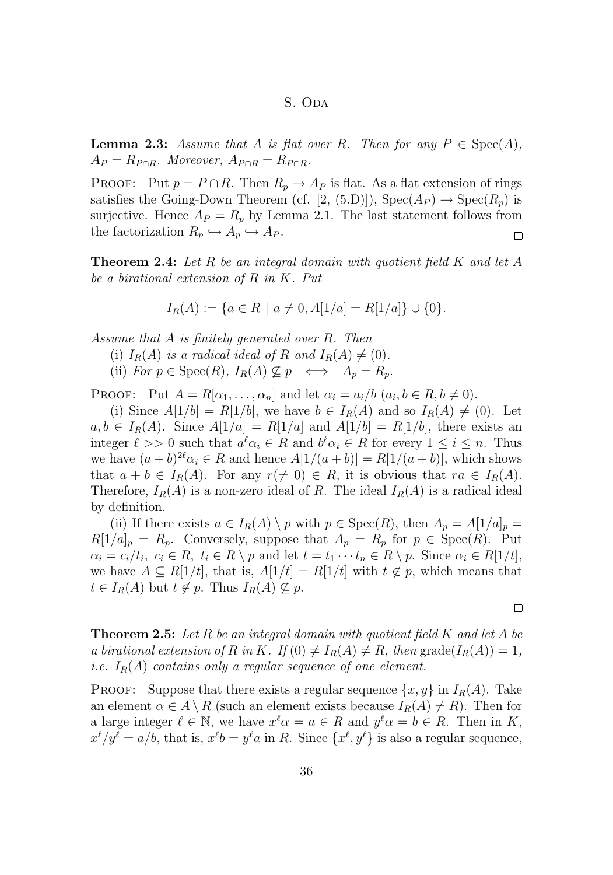#### S. ODA

<span id="page-2-0"></span>**Lemma 2.3:** *Assume that* A *is flat over* R. Then for any  $P \in \text{Spec}(A)$ ,  $A_P = R_{P \cap R}$ *. Moreover,*  $A_{P \cap R} = R_{P \cap R}$ *.* 

PROOF: Put  $p = P \cap R$ . Then  $R_p \to A_P$  is flat. As a flat extension of rings satisfies the Going-Down Theorem (cf. [\[2,](#page-6-0) (5.D)]),  $Spec(A_P) \rightarrow Spec(R_p)$  is surjective. Hence  $A_P = R_p$  by Lemma [2.1.](#page-1-0) The last statement follows from the factorization  $R_p \hookrightarrow A_p \hookrightarrow A_P$ .  $\Box$ 

**Theorem 2.4:** *Let* R *be an integral domain with quotient field* K *and let* A *be a birational extension of* R *in* K*. Put*

$$
I_R(A) := \{ a \in R \mid a \neq 0, A[1/a] = R[1/a] \} \cup \{ 0 \}.
$$

*Assume that* A *is finitely generated over* R*. Then*

- (i)  $I_R(A)$  *is a radical ideal of* R *and*  $I_R(A) \neq (0)$ *.*
- (ii) *For*  $p \in \text{Spec}(R)$ ,  $I_R(A) \nsubseteq p \iff A_p = R_p$ .

PROOF: Put  $A = R[\alpha_1, \ldots, \alpha_n]$  and let  $\alpha_i = a_i/b \ (a_i, b \in R, b \neq 0)$ .

(i) Since  $A[1/b] = R[1/b]$ , we have  $b \in I_R(A)$  and so  $I_R(A) \neq (0)$ . Let  $a, b \in I_R(A)$ . Since  $A[1/a] = R[1/a]$  and  $A[1/b] = R[1/b]$ , there exists an integer  $\ell >> 0$  such that  $a^{\ell} \alpha_i \in R$  and  $b^{\ell} \alpha_i \in R$  for every  $1 \leq i \leq n$ . Thus we have  $(a+b)^{2\ell} \alpha_i \in R$  and hence  $A[1/(a+b)] = R[1/(a+b)]$ , which shows that  $a + b \in I_R(A)$ . For any  $r(\neq 0) \in R$ , it is obvious that  $ra \in I_R(A)$ . Therefore,  $I_R(A)$  is a non-zero ideal of R. The ideal  $I_R(A)$  is a radical ideal by definition.

(ii) If there exists  $a \in I_R(A) \setminus p$  with  $p \in \text{Spec}(R)$ , then  $A_p = A[1/a]_p =$  $R[1/a]_p = R_p$ . Conversely, suppose that  $A_p = R_p$  for  $p \in \text{Spec}(R)$ . Put  $\alpha_i = c_i/t_i, \ c_i \in R, \ t_i \in R \setminus p$  and let  $t = t_1 \cdots t_n \in R \setminus p$ . Since  $\alpha_i \in R[1/t],$ we have  $A \subseteq R[1/t]$ , that is,  $A[1/t] = R[1/t]$  with  $t \notin p$ , which means that  $t \in I_R(A)$  but  $t \notin p$ . Thus  $I_R(A) \nsubseteq p$ .

**Theorem 2.5:** *Let* R *be an integral domain with quotient field* K *and let* A *be a birational extension of* R in K. If  $(0) \neq I_R(A) \neq R$ , then grade $(I_R(A)) = 1$ , *i.e.*  $I_R(A)$  *contains only a regular sequence of one element.* 

**PROOF:** Suppose that there exists a regular sequence  $\{x, y\}$  in  $I_R(A)$ . Take an element  $\alpha \in A \setminus R$  (such an element exists because  $I_R(A) \neq R$ ). Then for a large integer  $\ell \in \mathbb{N}$ , we have  $x^{\ell} \alpha = a \in R$  and  $y^{\ell} \alpha = b \in R$ . Then in K,  $x^{\ell}/y^{\ell} = a/b$ , that is,  $x^{\ell}b = y^{\ell}a$  in R. Since  $\{x^{\ell}, y^{\ell}\}\$ is also a regular sequence,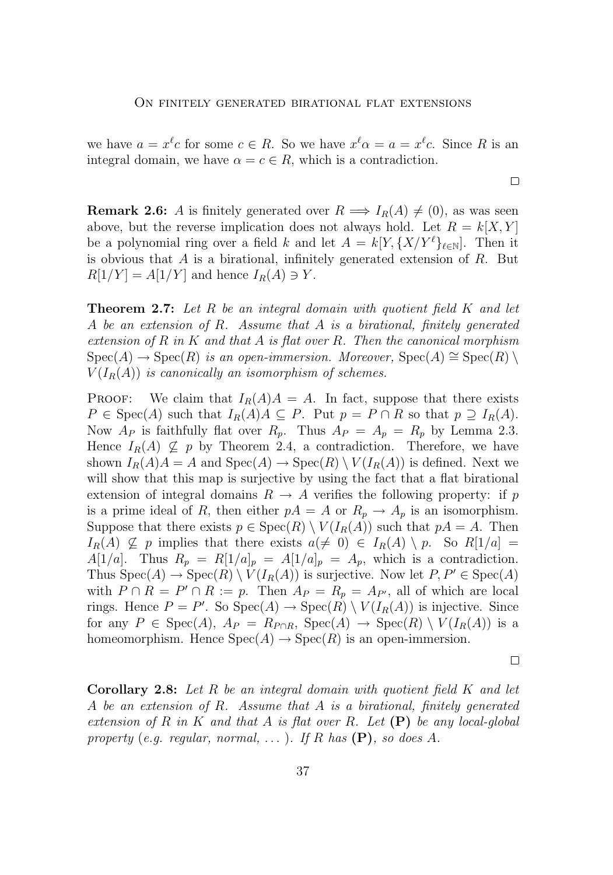<span id="page-3-0"></span>we have  $a = x^{\ell}c$  for some  $c \in R$ . So we have  $x^{\ell} \alpha = a = x^{\ell}c$ . Since R is an integral domain, we have  $\alpha = c \in R$ , which is a contradiction.

**Remark 2.6:** A is finitely generated over  $R \implies I_R(A) \neq (0)$ , as was seen above, but the reverse implication does not always hold. Let  $R = k[X, Y]$ be a polynomial ring over a field k and let  $A = k[Y, \{X/Y^{\ell}\}_{\ell \in \mathbb{N}}]$ . Then it is obvious that  $A$  is a birational, infinitely generated extension of  $R$ . But  $R[1/Y] = A[1/Y]$  and hence  $I_R(A) \ni Y$ .

**Theorem 2.7:** *Let* R *be an integral domain with quotient field* K *and let* A *be an extension of* R*. Assume that* A *is a birational, finitely generated extension of* R *in* K *and that* A *is flat over* R*. Then the canonical morphism*  $Spec(A) \rightarrow Spec(R)$  *is an open-immersion. Moreover*,  $Spec(A) \cong Spec(R) \setminus$  $V(I_R(A))$  *is canonically an isomorphism of schemes.* 

**PROOF:** We claim that  $I_R(A)A = A$ . In fact, suppose that there exists  $P \in \text{Spec}(A)$  such that  $I_R(A)A \subseteq P$ . Put  $p = P \cap R$  so that  $p \supseteq I_R(A)$ . Now  $A_P$  is faithfully flat over  $R_p$ . Thus  $A_P = A_p = R_p$  by Lemma [2.3.](#page-2-0) Hence  $I_R(A) \nsubseteq p$  by Theorem [2.4,](#page-2-0) a contradiction. Therefore, we have shown  $I_R(A)A = A$  and  $Spec(A) \rightarrow Spec(R) \setminus V(I_R(A))$  is defined. Next we will show that this map is surjective by using the fact that a flat birational extension of integral domains  $R \to A$  verifies the following property: if p is a prime ideal of R, then either  $pA = A$  or  $R_p \rightarrow A_p$  is an isomorphism. Suppose that there exists  $p \in \text{Spec}(R) \setminus V(I_R(A))$  such that  $pA = A$ . Then  $I_R(A) \nsubseteq p$  implies that there exists  $a \neq 0 \in I_R(A) \setminus p$ . So  $R[1/a] =$  $A[1/a]$ . Thus  $R_p = R[1/a]_p = A[1/a]_p = A_p$ , which is a contradiction. Thus  $Spec(A) \to Spec(R) \setminus V(I_R(A))$  is surjective. Now let  $P, P' \in Spec(A)$ with  $P \cap R = P' \cap R := p$ . Then  $A_P = R_p = A_{P'}$ , all of which are local rings. Hence  $P = P'$ . So  $Spec(A) \to Spec(R) \setminus V(I_R(A))$  is injective. Since for any  $P \in \text{Spec}(A), A_P = R_{P \cap R}, \text{Spec}(A) \to \text{Spec}(R) \setminus V(I_R(A))$  is a homeomorphism. Hence  $Spec(A) \to Spec(R)$  is an open-immersion.

**Corollary 2.8:** *Let* R *be an integral domain with quotient field* K *and let* A *be an extension of* R*. Assume that* A *is a birational, finitely generated extension of* R *in* K *and that* A *is flat over* R*. Let* **(P)** *be any local-global property* (*e.g. regular, normal,* ...). If R has  $(P)$ *, so does* A.

 $\Box$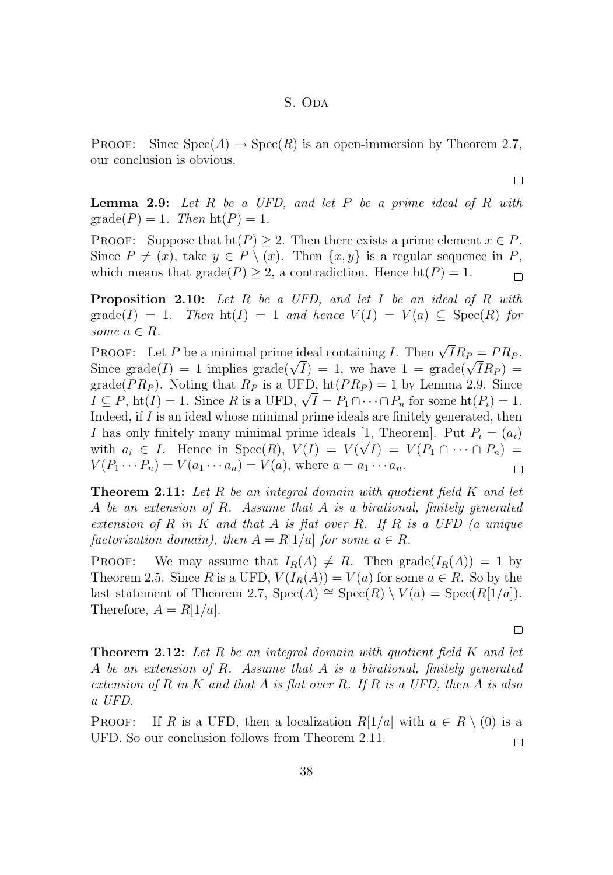#### S. ODA

PROOF: Since  $Spec(A) \to Spec(R)$  is an open-immersion by Theorem [2.7,](#page-3-0) our conclusion is obvious.

**Lemma 2.9:** *Let* R *be a UFD, and let* P *be a prime ideal of* R *with*  $\text{grade}(P) = 1$ *. Then*  $\text{ht}(P) = 1$ *.* 

PROOF: Suppose that  $\text{ht}(P) \geq 2$ . Then there exists a prime element  $x \in P$ . Since  $P \neq (x)$ , take  $y \in P \setminus (x)$ . Then  $\{x, y\}$  is a regular sequence in P, which means that  $\text{grade}(P) \geq 2$ , a contradiction. Hence  $\text{ht}(P) = 1$ .  $\Box$ 

**Proposition 2.10:** *Let* R *be a UFD, and let* I *be an ideal of* R *with*  $\text{grade}(I) = 1$ . Then  $\text{ht}(I) = 1$  and hence  $V(I) = V(a) \subseteq \text{Spec}(R)$  for *some*  $a \in R$ *.* 

PROOF: Let P be a minimal prime ideal containing I. Then  $\sqrt{I}R_P = PR_P$ . **PROOF:** Let P be a minimal prime ideal containing 1. Then  $\sqrt{IR_P} = PR_P$ .<br>Since grade(I) = 1 implies grade( $\sqrt{I}$ ) = 1, we have 1 = grade( $\sqrt{IR_P}$ ) =  $\text{grade}(PR_P)$ . Noting that  $R_P$  is a UFD,  $\text{ht}(PR_P) = 1$  by Lemma 2.9. Since grade( $PH_P$ ). Noting that  $H_P$  is a UFD,  $\pi(PH_P) = 1$  by Lemma 2.9. Since  $I \subseteq P$ ,  $\text{ht}(I) = 1$ . Since R is a UFD,  $\sqrt{I} = P_1 \cap \cdots \cap P_n$  for some  $\text{ht}(P_i) = 1$ . Indeed, if  $I$  is an ideal whose minimal prime ideals are finitely generated, then *I* has only finitely many minimal prime ideals [\[1,](#page-6-0) Theorem]. Put  $P_i = (a_i)$ with  $a_i \in I$ . Hence in  $Spec(R)$ ,  $V(I) = V(\sqrt{I}) = V(P_1 \cap \cdots \cap P_n) =$  $V(P_1 \cdots P_n) = V(a_1 \cdots a_n) = V(a)$ , where  $a = a_1 \cdots a_n$ .  $\Box$ 

**Theorem 2.11:** *Let* R *be an integral domain with quotient field* K *and let* A *be an extension of* R*. Assume that* A *is a birational, finitely generated extension of* R *in* K *and that* A *is flat over* R*. If* R *is a UFD (a unique factorization domain), then*  $A = R[1/a]$  *for some*  $a \in R$ *.* 

**PROOF:** We may assume that  $I_R(A) \neq R$ . Then  $\text{grade}(I_R(A)) = 1$  by Theorem [2.5.](#page-2-0) Since R is a UFD,  $V(I_R(A)) = V(a)$  for some  $a \in R$ . So by the last statement of Theorem [2.7,](#page-3-0) Spec(A)  $\cong$  Spec(R)  $\setminus V(a) = \text{Spec}(R[1/a])$ . Therefore,  $A = R[1/a]$ .

**Theorem 2.12:** *Let* R *be an integral domain with quotient field* K *and let* A *be an extension of* R*. Assume that* A *is a birational, finitely generated extension of* R *in* K *and that* A *is flat over* R*. If* R *is a UFD, then* A *is also a UFD.*

PROOF: If R is a UFD, then a localization  $R[1/a]$  with  $a \in R \setminus (0)$  is a UFD. So our conclusion follows from Theorem 2.11.  $\Box$ 

 $\Box$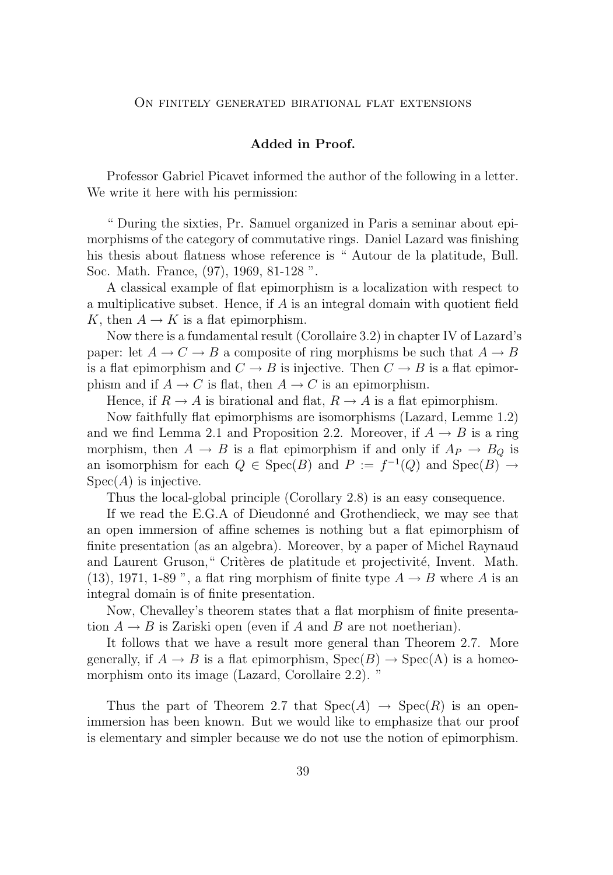#### On finitely generated birational flat extensions

#### **Added in Proof.**

Professor Gabriel Picavet informed the author of the following in a letter. We write it here with his permission:

" During the sixties, Pr. Samuel organized in Paris a seminar about epimorphisms of the category of commutative rings. Daniel Lazard was finishing his thesis about flatness whose reference is " Autour de la platitude, Bull. Soc. Math. France, (97), 1969, 81-128 ".

A classical example of flat epimorphism is a localization with respect to a multiplicative subset. Hence, if  $A$  is an integral domain with quotient field K, then  $A \to K$  is a flat epimorphism.

Now there is a fundamental result (Corollaire 3.2) in chapter IV of Lazard's paper: let  $A \to C \to B$  a composite of ring morphisms be such that  $A \to B$ is a flat epimorphism and  $C \to B$  is injective. Then  $C \to B$  is a flat epimorphism and if  $A \to C$  is flat, then  $A \to C$  is an epimorphism.

Hence, if  $R \to A$  is birational and flat,  $R \to A$  is a flat epimorphism.

Now faithfully flat epimorphisms are isomorphisms (Lazard, Lemme 1.2) and we find Lemma [2.1](#page-1-0) and Proposition [2.2.](#page-1-0) Moreover, if  $A \rightarrow B$  is a ring morphism, then  $A \to B$  is a flat epimorphism if and only if  $A_P \to B_Q$  is an isomorphism for each  $Q \in \text{Spec}(B)$  and  $P := f^{-1}(Q)$  and  $\text{Spec}(B) \to$  $Spec(A)$  is injective.

Thus the local-global principle (Corollary [2.8\)](#page-3-0) is an easy consequence.

If we read the E.G.A of Dieudonné and Grothendieck, we may see that an open immersion of affine schemes is nothing but a flat epimorphism of finite presentation (as an algebra). Moreover, by a paper of Michel Raynaud and Laurent Gruson," Critères de platitude et projectivité, Invent. Math. (13), 1971, 1-89 ", a flat ring morphism of finite type  $A \rightarrow B$  where A is an integral domain is of finite presentation.

Now, Chevalley's theorem states that a flat morphism of finite presentation  $A \rightarrow B$  is Zariski open (even if A and B are not noetherian).

It follows that we have a result more general than Theorem [2.7.](#page-3-0) More generally, if  $A \to B$  is a flat epimorphism,  $Spec(B) \to Spec(A)$  is a homeomorphism onto its image (Lazard, Corollaire 2.2). "

Thus the part of Theorem [2.7](#page-3-0) that  $Spec(A) \rightarrow Spec(R)$  is an openimmersion has been known. But we would like to emphasize that our proof is elementary and simpler because we do not use the notion of epimorphism.